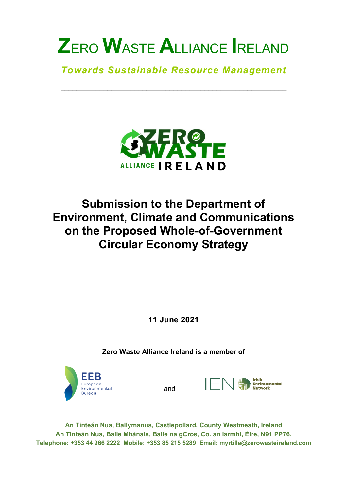*Towards Sustainable Resource Management*

\_\_\_\_\_\_\_\_\_\_\_\_\_\_\_\_\_\_\_\_\_\_\_\_\_\_\_\_\_\_\_\_\_\_\_\_\_\_\_\_\_\_\_\_\_\_\_\_\_\_\_\_\_\_\_\_\_\_



# **Submission to the Department of Environment, Climate and Communications on the Proposed Whole-of-Government Circular Economy Strategy**

**11 June 2021**

**Zero Waste Alliance Ireland is a member of**



and



**An Tinteán Nua, Ballymanus, Castlepollard, County Westmeath, Ireland An Tinteán Nua, Baile Mhánais, Baile na gCros, Co. an Iarmhí, Éire, N91 PP76. Telephone: +353 44 966 2222 Mobile: +353 85 215 5289 Email: myrtille@zerowasteireland.com**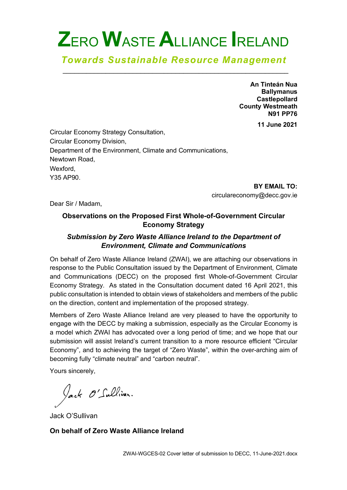#### *Towards Sustainable Resource Management* \_\_\_\_\_\_\_\_\_\_\_\_\_\_\_\_\_\_\_\_\_\_\_\_\_\_\_\_\_\_\_\_\_\_\_\_\_\_\_\_\_\_\_\_\_\_\_\_\_\_\_\_\_\_\_\_\_\_

**An Tinteán Nua Ballymanus Castlepollard County Westmeath N91 PP76**

**11 June 2021**

Circular Economy Strategy Consultation, Circular Economy Division, Department of the Environment, Climate and Communications, Newtown Road, Wexford, Y35 AP90.

**BY EMAIL TO:**  circulareconomy@decc.gov.ie

Dear Sir / Madam,

#### **Observations on the Proposed First Whole-of-Government Circular Economy Strategy**

#### *Submission by Zero Waste Alliance Ireland to the Department of Environment, Climate and Communications*

On behalf of Zero Waste Alliance Ireland (ZWAI), we are attaching our observations in response to the Public Consultation issued by the Department of Environment, Climate and Communications (DECC) on the proposed first Whole-of-Government Circular Economy Strategy. As stated in the Consultation document dated 16 April 2021, this public consultation is intended to obtain views of stakeholders and members of the public on the direction, content and implementation of the proposed strategy.

Members of Zero Waste Alliance Ireland are very pleased to have the opportunity to engage with the DECC by making a submission, especially as the Circular Economy is a model which ZWAI has advocated over a long period of time; and we hope that our submission will assist Ireland's current transition to a more resource efficient "Circular Economy", and to achieving the target of "Zero Waste", within the over-arching aim of becoming fully "climate neutral" and "carbon neutral".

Yours sincerely,

Jack O'Sullivan.

Jack O'Sullivan

#### **On behalf of Zero Waste Alliance Ireland**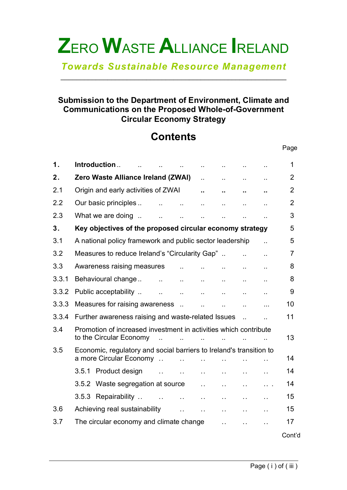*Towards Sustainable Resource Management* \_\_\_\_\_\_\_\_\_\_\_\_\_\_\_\_\_\_\_\_\_\_\_\_\_\_\_\_\_\_\_\_\_\_\_\_\_\_\_\_\_\_\_\_\_\_\_\_\_\_\_\_\_\_\_\_\_\_

#### **Submission to the Department of Environment, Climate and Communications on the Proposed Whole-of-Government Circular Economy Strategy**

# **Contents**

| 1.    | Introduction                                                                                            |                      |                      |                      |                      | 1              |  |  |  |
|-------|---------------------------------------------------------------------------------------------------------|----------------------|----------------------|----------------------|----------------------|----------------|--|--|--|
| 2.    | <b>Zero Waste Alliance Ireland (ZWAI)</b>                                                               | $\ddot{\phantom{a}}$ | $\ddot{\phantom{a}}$ | $\ddot{\phantom{a}}$ | ٠.                   | 2              |  |  |  |
| 2.1   | Origin and early activities of ZWAI                                                                     | ٠.                   | ٠.                   | ٠.                   |                      | $\overline{2}$ |  |  |  |
| 2.2   | Our basic principles<br>$\mathbf{r}$<br>$\ddot{\phantom{a}}$                                            | $\ddotsc$            | $\ddot{\phantom{a}}$ | $\ddot{\phantom{a}}$ | $\ddot{\phantom{a}}$ | $\overline{2}$ |  |  |  |
| 2.3   | What we are doing<br>$\ddot{\phantom{a}}$<br>$\ddot{\phantom{a}}$                                       | Ω.                   | $\ddot{\phantom{a}}$ | Ω.                   |                      | 3              |  |  |  |
| 3.    | Key objectives of the proposed circular economy strategy                                                |                      |                      |                      |                      |                |  |  |  |
| 3.1   | A national policy framework and public sector leadership<br>$\ddot{\phantom{a}}$                        |                      |                      |                      |                      |                |  |  |  |
| 3.2   | Measures to reduce Ireland's "Circularity Gap"<br>Ω.                                                    |                      |                      |                      |                      |                |  |  |  |
| 3.3   | Awareness raising measures                                                                              | $\ddot{\phantom{a}}$ | $\sim$               | $\ddotsc$            | $\ddot{\phantom{a}}$ | 8              |  |  |  |
| 3.3.1 | Behavioural change<br>$\mathbf{1}$ , $\mathbf{1}$<br>$\ddotsc$                                          | $\ddotsc$            | $\ddotsc$            | $\ddot{\phantom{a}}$ | $\ddot{\phantom{a}}$ | 8              |  |  |  |
| 3.3.2 | Public acceptability<br>$\mathbf{r}$ , $\mathbf{r}$<br>$\ddotsc$                                        | $\sim$               | $\ddotsc$            | $\ddot{\phantom{a}}$ | $\ddot{\phantom{a}}$ | 9              |  |  |  |
| 3.3.3 | Measures for raising awareness                                                                          | $\ddot{\phantom{a}}$ | $\ddotsc$            | $\ddot{\phantom{a}}$ |                      | 10             |  |  |  |
| 3.3.4 | 11<br>Further awareness raising and waste-related Issues<br>$\mathbb{R}^2$<br>$\overline{a}$            |                      |                      |                      |                      |                |  |  |  |
| 3.4   | Promotion of increased investment in activities which contribute                                        |                      |                      |                      |                      |                |  |  |  |
|       | to the Circular Economy                                                                                 |                      |                      |                      |                      | 13             |  |  |  |
| 3.5   | Economic, regulatory and social barriers to Ireland's transition to                                     |                      |                      |                      |                      |                |  |  |  |
|       | a more Circular Economy<br>$\ddot{\phantom{a}}$                                                         |                      |                      |                      |                      | 14             |  |  |  |
|       | 3.5.1 Product design<br>$\ddot{\phantom{a}}$<br>$\ddot{\phantom{a}}$                                    | $\ddotsc$            | $\ddotsc$            | $\ddot{\phantom{a}}$ | . .                  | 14             |  |  |  |
|       | 3.5.2 Waste segregation at source                                                                       | $\ddot{\phantom{a}}$ | $\ddot{\phantom{a}}$ | $\ddot{\phantom{a}}$ | $\cdots$             | 14             |  |  |  |
|       | 3.5.3 Repairability<br>$\mathbf{r}$<br>$\ddot{\phantom{a}}$                                             | $\ddotsc$            | $\ddot{\phantom{a}}$ | $\ddot{\phantom{a}}$ | . .                  | 15             |  |  |  |
| 3.6   | Achieving real sustainability<br>$\ddotsc$<br>$\ddotsc$<br>$\ddot{\phantom{a}}$<br>$\sim$ $\sim$<br>. . |                      |                      |                      |                      |                |  |  |  |
| 3.7   | The circular economy and climate change                                                                 |                      | $\ddot{\phantom{a}}$ | $\ddot{\phantom{a}}$ | $\ddotsc$            | 17             |  |  |  |
|       |                                                                                                         |                      |                      |                      |                      | Cont'd         |  |  |  |

Page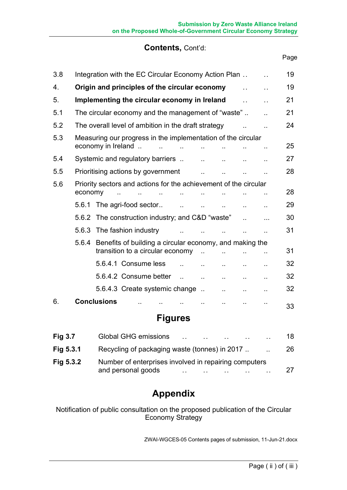#### **Contents,** Cont'd:

| 3.8 |                                                                                    | Integration with the EC Circular Economy Action Plan |                                                         |  |                      |                      | 19                   |                      |                        |    |
|-----|------------------------------------------------------------------------------------|------------------------------------------------------|---------------------------------------------------------|--|----------------------|----------------------|----------------------|----------------------|------------------------|----|
| 4.  | Origin and principles of the circular economy                                      |                                                      |                                                         |  |                      |                      | 19                   |                      |                        |    |
| 5.  |                                                                                    |                                                      | Implementing the circular economy in Ireland            |  |                      |                      |                      | $\ddot{\phantom{0}}$ | $\ddot{\phantom{0}}$   | 21 |
| 5.1 |                                                                                    |                                                      | The circular economy and the management of "waste"      |  |                      |                      |                      |                      |                        | 21 |
| 5.2 |                                                                                    | The overall level of ambition in the draft strategy  |                                                         |  |                      |                      |                      |                      | 24                     |    |
| 5.3 | Measuring our progress in the implementation of the circular<br>economy in Ireland |                                                      |                                                         |  |                      |                      |                      | 25                   |                        |    |
| 5.4 |                                                                                    |                                                      | Systemic and regulatory barriers                        |  |                      | $\ddot{\phantom{a}}$ |                      |                      |                        | 27 |
| 5.5 |                                                                                    |                                                      | Prioritising actions by government                      |  |                      |                      |                      |                      |                        | 28 |
| 5.6 | Priority sectors and actions for the achievement of the circular                   |                                                      |                                                         |  |                      |                      |                      |                      |                        |    |
|     | economy                                                                            |                                                      |                                                         |  |                      |                      |                      |                      |                        | 28 |
|     | 5.6.1                                                                              |                                                      | The agri-food sector                                    |  | $\ddot{\phantom{a}}$ |                      |                      | $\ddot{\phantom{a}}$ | ٠.                     | 29 |
|     |                                                                                    |                                                      | 5.6.2 The construction industry; and C&D "waste"        |  |                      |                      |                      |                      | .                      | 30 |
|     |                                                                                    |                                                      | 5.6.3 The fashion industry                              |  |                      |                      |                      | Ω.                   | $\ddot{\phantom{a}}$   | 31 |
|     | 5.6.4                                                                              |                                                      | Benefits of building a circular economy, and making the |  |                      |                      |                      |                      |                        |    |
|     |                                                                                    |                                                      | transition to a circular economy                        |  |                      |                      |                      |                      |                        | 31 |
|     |                                                                                    |                                                      | 5.6.4.1 Consume less                                    |  |                      |                      |                      | $\ddotsc$            |                        | 32 |
|     |                                                                                    |                                                      | 5.6.4.2 Consume better                                  |  | $\ddot{\phantom{a}}$ | $\ddot{\phantom{a}}$ |                      | $\ddot{\phantom{a}}$ | $\ddot{\phantom{1}}$ . | 32 |
|     |                                                                                    |                                                      | 5.6.4.3 Create systemic change                          |  |                      |                      | $\ddot{\phantom{a}}$ | н.                   | $\ddot{\phantom{a}}$   | 32 |
| 6.  |                                                                                    | <b>Conclusions</b>                                   |                                                         |  |                      |                      |                      | $\sim$               |                        | 33 |

## **Figures**

| Fig $3.7$   | <b>Global GHG emissions</b><br>18<br>$\ddotsc$<br>$\sim$                                    |  |
|-------------|---------------------------------------------------------------------------------------------|--|
| Fig 5.3.1   | Recycling of packaging waste (tonnes) in 2017.<br>26<br>$\ddot{\phantom{a}}$                |  |
| Fig $5.3.2$ | Number of enterprises involved in repairing computers<br>and personal goods<br>27<br>$\sim$ |  |

## **Appendix**

Notification of public consultation on the proposed publication of the Circular Economy Strategy

ZWAI-WGCES-05 Contents pages of submission, 11-Jun-21.docx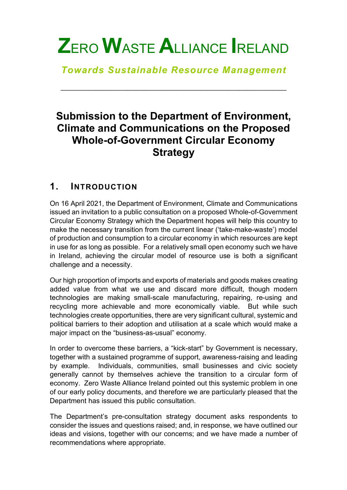*Towards Sustainable Resource Management*

\_\_\_\_\_\_\_\_\_\_\_\_\_\_\_\_\_\_\_\_\_\_\_\_\_\_\_\_\_\_\_\_\_\_\_\_\_\_\_\_\_\_\_\_\_\_\_\_\_\_\_\_\_\_\_\_\_\_

# **Submission to the Department of Environment, Climate and Communications on the Proposed Whole-of-Government Circular Economy Strategy**

### **1. INTRODUCTION**

On 16 April 2021, the Department of Environment, Climate and Communications issued an invitation to a public consultation on a proposed Whole-of-Government Circular Economy Strategy which the Department hopes will help this country to make the necessary transition from the current linear ('take-make-waste') model of production and consumption to a circular economy in which resources are kept in use for as long as possible. For a relatively small open economy such we have in Ireland, achieving the circular model of resource use is both a significant challenge and a necessity.

Our high proportion of imports and exports of materials and goods makes creating added value from what we use and discard more difficult, though modern technologies are making small-scale manufacturing, repairing, re-using and recycling more achievable and more economically viable. But while such technologies create opportunities, there are very significant cultural, systemic and political barriers to their adoption and utilisation at a scale which would make a major impact on the "business-as-usual" economy.

In order to overcome these barriers, a "kick-start" by Government is necessary, together with a sustained programme of support, awareness-raising and leading by example. Individuals, communities, small businesses and civic society generally cannot by themselves achieve the transition to a circular form of economy. Zero Waste Alliance Ireland pointed out this systemic problem in one of our early policy documents, and therefore we are particularly pleased that the Department has issued this public consultation.

The Department's pre-consultation strategy document asks respondents to consider the issues and questions raised; and, in response, we have outlined our ideas and visions, together with our concerns; and we have made a number of recommendations where appropriate.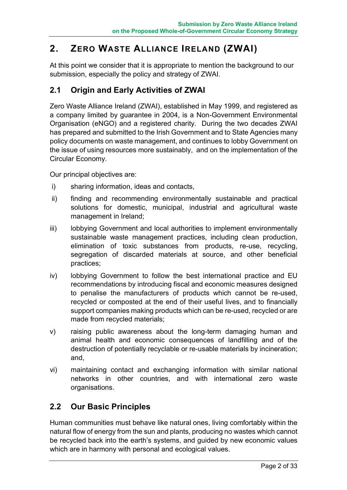## **2. ZERO WASTE ALLIANCE IRELAND (ZWAI)**

At this point we consider that it is appropriate to mention the background to our submission, especially the policy and strategy of ZWAI.

#### **2.1 Origin and Early Activities of ZWAI**

Zero Waste Alliance Ireland (ZWAI), established in May 1999, and registered as a company limited by guarantee in 2004, is a Non-Government Environmental Organisation (eNGO) and a registered charity. During the two decades ZWAI has prepared and submitted to the Irish Government and to State Agencies many policy documents on waste management, and continues to lobby Government on the issue of using resources more sustainably, and on the implementation of the Circular Economy.

Our principal objectives are:

- i) sharing information, ideas and contacts,
- ii) finding and recommending environmentally sustainable and practical solutions for domestic, municipal, industrial and agricultural waste management in Ireland;
- iii) lobbying Government and local authorities to implement environmentally sustainable waste management practices, including clean production, elimination of toxic substances from products, re-use, recycling, segregation of discarded materials at source, and other beneficial practices;
- iv) lobbying Government to follow the best international practice and EU recommendations by introducing fiscal and economic measures designed to penalise the manufacturers of products which cannot be re-used, recycled or composted at the end of their useful lives, and to financially support companies making products which can be re-used, recycled or are made from recycled materials;
- v) raising public awareness about the long-term damaging human and animal health and economic consequences of landfilling and of the destruction of potentially recyclable or re-usable materials by incineration; and,
- vi) maintaining contact and exchanging information with similar national networks in other countries, and with international zero waste organisations.

#### **2.2 Our Basic Principles**

Human communities must behave like natural ones, living comfortably within the natural flow of energy from the sun and plants, producing no wastes which cannot be recycled back into the earth's systems, and guided by new economic values which are in harmony with personal and ecological values.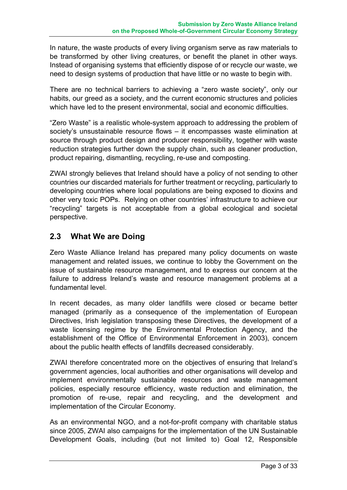In nature, the waste products of every living organism serve as raw materials to be transformed by other living creatures, or benefit the planet in other ways. Instead of organising systems that efficiently dispose of or recycle our waste, we need to design systems of production that have little or no waste to begin with.

There are no technical barriers to achieving a "zero waste society", only our habits, our greed as a society, and the current economic structures and policies which have led to the present environmental, social and economic difficulties.

"Zero Waste" is a realistic whole-system approach to addressing the problem of society's unsustainable resource flows – it encompasses waste elimination at source through product design and producer responsibility, together with waste reduction strategies further down the supply chain, such as cleaner production, product repairing, dismantling, recycling, re-use and composting.

ZWAI strongly believes that Ireland should have a policy of not sending to other countries our discarded materials for further treatment or recycling, particularly to developing countries where local populations are being exposed to dioxins and other very toxic POPs. Relying on other countries' infrastructure to achieve our "recycling" targets is not acceptable from a global ecological and societal perspective.

#### **2.3 What We are Doing**

Zero Waste Alliance Ireland has prepared many policy documents on waste management and related issues, we continue to lobby the Government on the issue of sustainable resource management, and to express our concern at the failure to address Ireland's waste and resource management problems at a fundamental level.

In recent decades, as many older landfills were closed or became better managed (primarily as a consequence of the implementation of European Directives, Irish legislation transposing these Directives, the development of a waste licensing regime by the Environmental Protection Agency, and the establishment of the Office of Environmental Enforcement in 2003), concern about the public health effects of landfills decreased considerably.

ZWAI therefore concentrated more on the objectives of ensuring that Ireland's government agencies, local authorities and other organisations will develop and implement environmentally sustainable resources and waste management policies, especially resource efficiency, waste reduction and elimination, the promotion of re-use, repair and recycling, and the development and implementation of the Circular Economy.

As an environmental NGO, and a not-for-profit company with charitable status since 2005, ZWAI also campaigns for the implementation of the UN Sustainable Development Goals, including (but not limited to) Goal 12, Responsible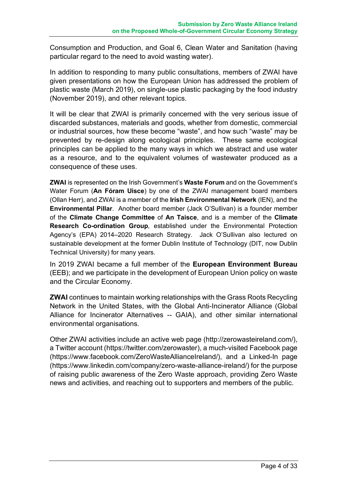Consumption and Production, and Goal 6, Clean Water and Sanitation (having particular regard to the need to avoid wasting water).

In addition to responding to many public consultations, members of ZWAI have given presentations on how the European Union has addressed the problem of plastic waste (March 2019), on single-use plastic packaging by the food industry (November 2019), and other relevant topics.

It will be clear that ZWAI is primarily concerned with the very serious issue of discarded substances, materials and goods, whether from domestic, commercial or industrial sources, how these become "waste", and how such "waste" may be prevented by re-design along ecological principles. These same ecological principles can be applied to the many ways in which we abstract and use water as a resource, and to the equivalent volumes of wastewater produced as a consequence of these uses.

**ZWAI** is represented on the Irish Government's **Waste Forum** and on the Government's Water Forum (**An Fóram Uisce**) by one of the ZWAI management board members (Ollan Herr), and ZWAI is a member of the **Irish Environmental Network** (IEN), and the **Environmental Pillar**. Another board member (Jack O'Sullivan) is a founder member of the **Climate Change Committee** of **An Taisce**, and is a member of the **Climate Research Co-ordination Group**, established under the Environmental Protection Agency's (EPA) 2014–2020 Research Strategy. Jack O'Sullivan also lectured on sustainable development at the former Dublin Institute of Technology (DIT, now Dublin Technical University) for many years.

In 2019 ZWAI became a full member of the **European Environment Bureau** (EEB); and we participate in the development of European Union policy on waste and the Circular Economy.

**ZWAI** continues to maintain working relationships with the Grass Roots Recycling Network in the United States, with the Global Anti-Incinerator Alliance (Global Alliance for Incinerator Alternatives -- GAIA), and other similar international environmental organisations.

Other ZWAI activities include an active web page (http://zerowasteireland.com/), a Twitter account (https://twitter.com/zerowaster), a much-visited Facebook page (https://www.facebook.com/ZeroWasteAllianceIreland/), and a Linked-In page (https://www.linkedin.com/company/zero-waste-alliance-ireland/) for the purpose of raising public awareness of the Zero Waste approach, providing Zero Waste news and activities, and reaching out to supporters and members of the public.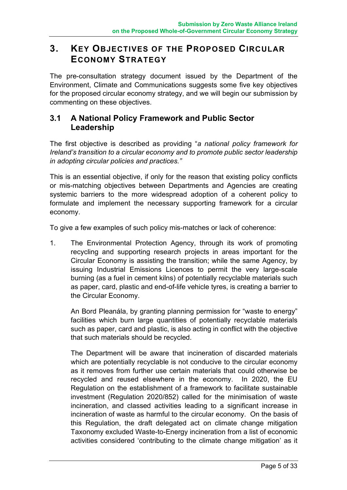### **3. KEY OBJECTIVES OF THE PROPOSED CIRCULAR ECONOMY STRATEGY**

The pre-consultation strategy document issued by the Department of the Environment, Climate and Communications suggests some five key objectives for the proposed circular economy strategy, and we will begin our submission by commenting on these objectives.

#### **3.1 A National Policy Framework and Public Sector Leadership**

The first objective is described as providing "*a national policy framework for Ireland's transition to a circular economy and to promote public sector leadership in adopting circular policies and practices."*

This is an essential objective, if only for the reason that existing policy conflicts or mis-matching objectives between Departments and Agencies are creating systemic barriers to the more widespread adoption of a coherent policy to formulate and implement the necessary supporting framework for a circular economy.

To give a few examples of such policy mis-matches or lack of coherence:

1. The Environmental Protection Agency, through its work of promoting recycling and supporting research projects in areas important for the Circular Economy is assisting the transition; while the same Agency, by issuing Industrial Emissions Licences to permit the very large-scale burning (as a fuel in cement kilns) of potentially recyclable materials such as paper, card, plastic and end-of-life vehicle tyres, is creating a barrier to the Circular Economy.

An Bord Pleanála, by granting planning permission for "waste to energy" facilities which burn large quantities of potentially recyclable materials such as paper, card and plastic, is also acting in conflict with the objective that such materials should be recycled.

The Department will be aware that incineration of discarded materials which are potentially recyclable is not conducive to the circular economy as it removes from further use certain materials that could otherwise be recycled and reused elsewhere in the economy. In 2020, the EU Regulation on the establishment of a framework to facilitate sustainable investment (Regulation 2020/852) called for the minimisation of waste incineration, and classed activities leading to a significant increase in incineration of waste as harmful to the circular economy. On the basis of this Regulation, the draft delegated act on climate change mitigation Taxonomy excluded Waste-to-Energy incineration from a list of economic activities considered 'contributing to the climate change mitigation' as it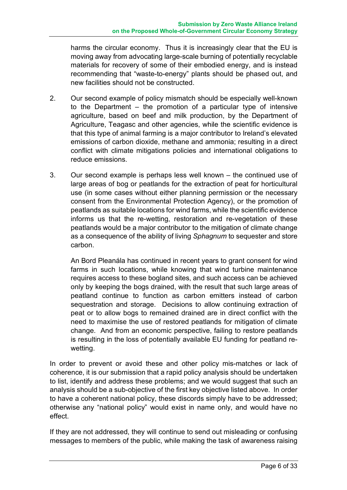harms the circular economy. Thus it is increasingly clear that the EU is moving away from advocating large-scale burning of potentially recyclable materials for recovery of some of their embodied energy, and is instead recommending that "waste-to-energy" plants should be phased out, and new facilities should not be constructed.

- 2. Our second example of policy mismatch should be especially well-known to the Department – the promotion of a particular type of intensive agriculture, based on beef and milk production, by the Department of Agriculture, Teagasc and other agencies, while the scientific evidence is that this type of animal farming is a major contributor to Ireland's elevated emissions of carbon dioxide, methane and ammonia; resulting in a direct conflict with climate mitigations policies and international obligations to reduce emissions.
- 3. Our second example is perhaps less well known the continued use of large areas of bog or peatlands for the extraction of peat for horticultural use (in some cases without either planning permission or the necessary consent from the Environmental Protection Agency), or the promotion of peatlands as suitable locations for wind farms, while the scientific evidence informs us that the re-wetting, restoration and re-vegetation of these peatlands would be a major contributor to the mitigation of climate change as a consequence of the ability of living *Sphagnum* to sequester and store carbon.

An Bord Pleanála has continued in recent years to grant consent for wind farms in such locations, while knowing that wind turbine maintenance requires access to these bogland sites, and such access can be achieved only by keeping the bogs drained, with the result that such large areas of peatland continue to function as carbon emitters instead of carbon sequestration and storage. Decisions to allow continuing extraction of peat or to allow bogs to remained drained are in direct conflict with the need to maximise the use of restored peatlands for mitigation of climate change. And from an economic perspective, failing to restore peatlands is resulting in the loss of potentially available EU funding for peatland rewetting.

In order to prevent or avoid these and other policy mis-matches or lack of coherence, it is our submission that a rapid policy analysis should be undertaken to list, identify and address these problems; and we would suggest that such an analysis should be a sub-objective of the first key objective listed above. In order to have a coherent national policy, these discords simply have to be addressed; otherwise any "national policy" would exist in name only, and would have no effect.

If they are not addressed, they will continue to send out misleading or confusing messages to members of the public, while making the task of awareness raising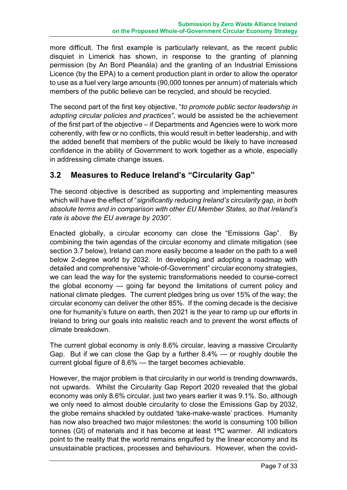more difficult. The first example is particularly relevant, as the recent public disquiet in Limerick has shown, in response to the granting of planning permission (by An Bord Pleanála) and the granting of an Industrial Emissions Licence (by the EPA) to a cement production plant in order to allow the operator to use as a fuel very large amounts (90,000 tonnes per annum) of materials which members of the public believe can be recycled, and should be recycled.

The second part of the first key objective, "*to promote public sector leadership in adopting circular policies and practices"*, would be assisted be the achievement of the first part of the objective – if Departments and Agencies were to work more coherently, with few or no conflicts, this would result in better leadership, and with the added benefit that members of the public would be likely to have increased confidence in the ability of Government to work together as a whole, especially in addressing climate change issues.

#### **3.2 Measures to Reduce Ireland's "Circularity Gap"**

The second objective is described as supporting and implementing measures which will have the effect of "*significantly reducing Ireland's circularity gap, in both absolute terms and in comparison with other EU Member States, so that Ireland's rate is above the EU average by 2030".*

Enacted globally, a circular economy can close the "Emissions Gap". By combining the twin agendas of the circular economy and climate mitigation (see section 3.7 below), Ireland can more easily become a leader on the path to a well below 2-degree world by 2032. In developing and adopting a roadmap with detailed and comprehensive "whole-of-Government" circular economy strategies, we can lead the way for the systemic transformations needed to course-correct the global economy — going far beyond the limitations of current policy and national climate pledges. The current pledges bring us over 15% of the way; the circular economy can deliver the other 85%. If the coming decade is the decisive one for humanity's future on earth, then 2021 is the year to ramp up our efforts in Ireland to bring our goals into realistic reach and to prevent the worst effects of climate breakdown.

The current global economy is only 8.6% circular, leaving a massive Circularity Gap. But if we can close the Gap by a further 8.4% — or roughly double the current global figure of 8.6% — the target becomes achievable.

However, the major problem is that circularity in our world is trending downwards, not upwards. Whilst the Circularity Gap Report 2020 revealed that the global economy was only 8.6% circular, just two years earlier it was 9.1%. So, although we only need to almost double circularity to close the Emissions Gap by 2032, the globe remains shackled by outdated 'take-make-waste' practices. Humanity has now also breached two major milestones: the world is consuming 100 billion tonnes (Gt) of materials and it has become at least 1**<sup>o</sup>**C warmer. All indicators point to the reality that the world remains engulfed by the linear economy and its unsustainable practices, processes and behaviours. However, when the covid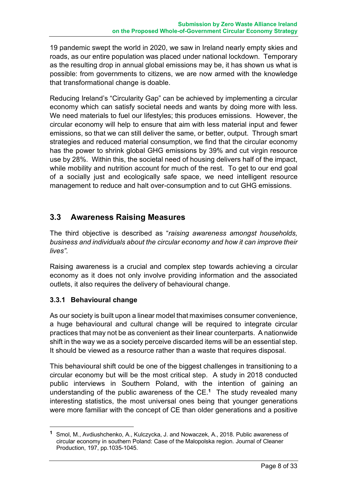19 pandemic swept the world in 2020, we saw in Ireland nearly empty skies and roads, as our entire population was placed under national lockdown. Temporary as the resulting drop in annual global emissions may be, it has shown us what is possible: from governments to citizens, we are now armed with the knowledge that transformational change is doable.

Reducing Ireland's "Circularity Gap" can be achieved by implementing a circular economy which can satisfy societal needs and wants by doing more with less. We need materials to fuel our lifestyles; this produces emissions. However, the circular economy will help to ensure that aim with less material input and fewer emissions, so that we can still deliver the same, or better, output. Through smart strategies and reduced material consumption, we find that the circular economy has the power to shrink global GHG emissions by 39% and cut virgin resource use by 28%. Within this, the societal need of housing delivers half of the impact, while mobility and nutrition account for much of the rest. To get to our end goal of a socially just and ecologically safe space, we need intelligent resource management to reduce and halt over-consumption and to cut GHG emissions.

#### **3.3 Awareness Raising Measures**

The third objective is described as "*raising awareness amongst households, business and individuals about the circular economy and how it can improve their lives".*

Raising awareness is a crucial and complex step towards achieving a circular economy as it does not only involve providing information and the associated outlets, it also requires the delivery of behavioural change.

#### **3.3.1 Behavioural change**

<u>.</u>

As our society is built upon a linear model that maximises consumer convenience, a huge behavioural and cultural change will be required to integrate circular practices that may not be as convenient as their linear counterparts. A nationwide shift in the way we as a society perceive discarded items will be an essential step. It should be viewed as a resource rather than a waste that requires disposal.

This behavioural shift could be one of the biggest challenges in transitioning to a circular economy but will be the most critical step. A study in 2018 conducted public interviews in Southern Poland, with the intention of gaining an understanding of the public awareness of the CE.**<sup>1</sup>** The study revealed many interesting statistics, the most universal ones being that younger generations were more familiar with the concept of CE than older generations and a positive

**<sup>1</sup>** Smol, M., Avdiushchenko, A., Kulczycka, J. and Nowaczek, A., 2018. Public awareness of circular economy in southern Poland: Case of the Malopolska region. Journal of Cleaner Production, 197, pp.1035-1045.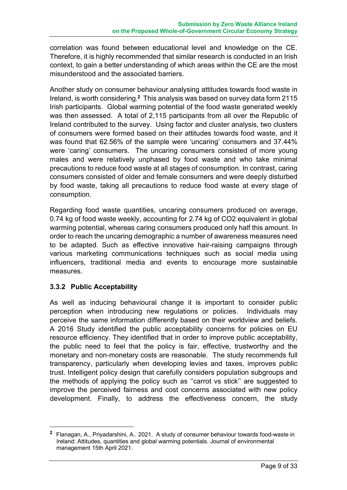correlation was found between educational level and knowledge on the CE. Therefore, it is highly recommended that similar research is conducted in an Irish context, to gain a better understanding of which areas within the CE are the most misunderstood and the associated barriers.

Another study on consumer behaviour analysing attitudes towards food waste in Ireland, is worth considering.**<sup>2</sup>** This analysis was based on survey data form 2115 Irish participants. Global warming potential of the food waste generated weekly was then assessed. A total of 2,115 participants from all over the Republic of Ireland contributed to the survey. Using factor and cluster analysis, two clusters of consumers were formed based on their attitudes towards food waste, and it was found that 62.56% of the sample were 'uncaring' consumers and 37.44% were 'caring' consumers. The uncaring consumers consisted of more young males and were relatively unphased by food waste and who take minimal precautions to reduce food waste at all stages of consumption. In contrast, caring consumers consisted of older and female consumers and were deeply disturbed by food waste, taking all precautions to reduce food waste at every stage of consumption.

Regarding food waste quantities, uncaring consumers produced on average, 0.74 kg of food waste weekly, accounting for 2.74 kg of CO2 equivalent in global warming potential, whereas caring consumers produced only half this amount. In order to reach the uncaring demographic a number of awareness measures need to be adapted. Such as effective innovative hair-raising campaigns through various marketing communications techniques such as social media using influencers, traditional media and events to encourage more sustainable measures.

#### **3.3.2 Public Acceptability**

<u>.</u>

As well as inducing behavioural change it is important to consider public perception when introducing new regulations or policies. Individuals may perceive the same information differently based on their worldview and beliefs. A 2016 Study identified the public acceptability concerns for policies on EU resource efficiency. They identified that in order to improve public acceptability, the public need to feel that the policy is fair, effective, trustworthy and the monetary and non-monetary costs are reasonable. The study recommends full transparency, particularly when developing levies and taxes, improves public trust. Intelligent policy design that carefully considers population subgroups and the methods of applying the policy such as ''carrot vs stick'' are suggested to improve the perceived fairness and cost concerns associated with new policy development. Finally, to address the effectiveness concern, the study

**<sup>2</sup>** Flanagan, A., Priyadarshini, A.. 2021. A study of consumer behaviour towards food-waste in Ireland: Attitudes, quantities and global warming potentials. Journal of environmental management 15th April 2021.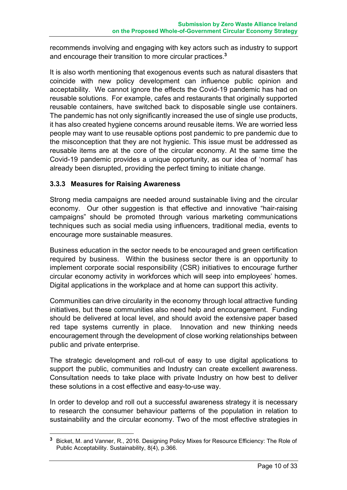recommends involving and engaging with key actors such as industry to support and encourage their transition to more circular practices.**<sup>3</sup>**

It is also worth mentioning that exogenous events such as natural disasters that coincide with new policy development can influence public opinion and acceptability. We cannot ignore the effects the Covid-19 pandemic has had on reusable solutions. For example, cafes and restaurants that originally supported reusable containers, have switched back to disposable single use containers. The pandemic has not only significantly increased the use of single use products, it has also created hygiene concerns around reusable items. We are worried less people may want to use reusable options post pandemic to pre pandemic due to the misconception that they are not hygienic. This issue must be addressed as reusable items are at the core of the circular economy. At the same time the Covid-19 pandemic provides a unique opportunity, as our idea of 'normal' has already been disrupted, providing the perfect timing to initiate change.

#### **3.3.3 Measures for Raising Awareness**

1

Strong media campaigns are needed around sustainable living and the circular economy. Our other suggestion is that effective and innovative "hair-raising campaigns" should be promoted through various marketing communications techniques such as social media using influencers, traditional media, events to encourage more sustainable measures.

Business education in the sector needs to be encouraged and green certification required by business. Within the business sector there is an opportunity to implement corporate social responsibility (CSR) initiatives to encourage further circular economy activity in workforces which will seep into employees' homes. Digital applications in the workplace and at home can support this activity.

Communities can drive circularity in the economy through local attractive funding initiatives, but these communities also need help and encouragement. Funding should be delivered at local level, and should avoid the extensive paper based red tape systems currently in place. Innovation and new thinking needs encouragement through the development of close working relationships between public and private enterprise.

The strategic development and roll-out of easy to use digital applications to support the public, communities and Industry can create excellent awareness. Consultation needs to take place with private Industry on how best to deliver these solutions in a cost effective and easy-to-use way.

In order to develop and roll out a successful awareness strategy it is necessary to research the consumer behaviour patterns of the population in relation to sustainability and the circular economy. Two of the most effective strategies in

**<sup>3</sup>** Bicket, M. and Vanner, R., 2016. Designing Policy Mixes for Resource Efficiency: The Role of Public Acceptability. Sustainability, 8(4), p.366.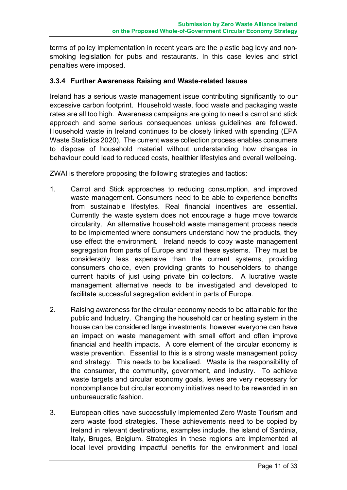terms of policy implementation in recent years are the plastic bag levy and nonsmoking legislation for pubs and restaurants. In this case levies and strict penalties were imposed.

#### **3.3.4 Further Awareness Raising and Waste-related Issues**

Ireland has a serious waste management issue contributing significantly to our excessive carbon footprint. Household waste, food waste and packaging waste rates are all too high. Awareness campaigns are going to need a carrot and stick approach and some serious consequences unless guidelines are followed. Household waste in Ireland continues to be closely linked with spending (EPA Waste Statistics 2020). The current waste collection process enables consumers to dispose of household material without understanding how changes in behaviour could lead to reduced costs, healthier lifestyles and overall wellbeing.

ZWAI is therefore proposing the following strategies and tactics:

- 1. Carrot and Stick approaches to reducing consumption, and improved waste management. Consumers need to be able to experience benefits from sustainable lifestyles. Real financial incentives are essential. Currently the waste system does not encourage a huge move towards circularity. An alternative household waste management process needs to be implemented where consumers understand how the products, they use effect the environment. Ireland needs to copy waste management segregation from parts of Europe and trial these systems. They must be considerably less expensive than the current systems, providing consumers choice, even providing grants to householders to change current habits of just using private bin collectors. A lucrative waste management alternative needs to be investigated and developed to facilitate successful segregation evident in parts of Europe.
- 2. Raising awareness for the circular economy needs to be attainable for the public and Industry. Changing the household car or heating system in the house can be considered large investments; however everyone can have an impact on waste management with small effort and often improve financial and health impacts. A core element of the circular economy is waste prevention. Essential to this is a strong waste management policy and strategy. This needs to be localised. Waste is the responsibility of the consumer, the community, government, and industry. To achieve waste targets and circular economy goals, levies are very necessary for noncompliance but circular economy initiatives need to be rewarded in an unbureaucratic fashion.
- 3. European cities have successfully implemented Zero Waste Tourism and zero waste food strategies. These achievements need to be copied by Ireland in relevant destinations, examples include, the island of Sardinia, Italy, Bruges, Belgium. Strategies in these regions are implemented at local level providing impactful benefits for the environment and local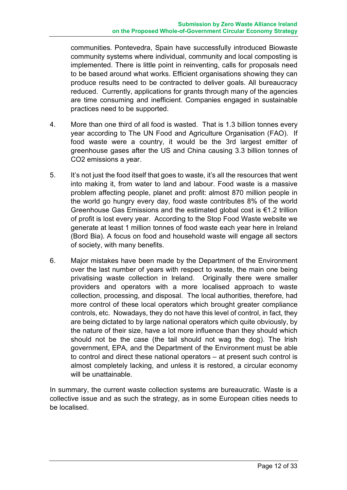communities. Pontevedra, Spain have successfully introduced Biowaste community systems where individual, community and local composting is implemented. There is little point in reinventing, calls for proposals need to be based around what works. Efficient organisations showing they can produce results need to be contracted to deliver goals. All bureaucracy reduced. Currently, applications for grants through many of the agencies are time consuming and inefficient. Companies engaged in sustainable practices need to be supported.

- 4. More than one third of all food is wasted. That is 1.3 billion tonnes every year according to The UN Food and Agriculture Organisation (FAO). If food waste were a country, it would be the 3rd largest emitter of greenhouse gases after the US and China causing 3.3 billion tonnes of CO2 emissions a year.
- 5. It's not just the food itself that goes to waste, it's all the resources that went into making it, from water to land and labour. Food waste is a massive problem affecting people, planet and profit: almost 870 million people in the world go hungry every day, food waste contributes 8% of the world Greenhouse Gas Emissions and the estimated global cost is €1.2 trillion of profit is lost every year. According to the Stop Food Waste website we generate at least 1 million tonnes of food waste each year here in Ireland (Bord Bia). A focus on food and household waste will engage all sectors of society, with many benefits.
- 6. Major mistakes have been made by the Department of the Environment over the last number of years with respect to waste, the main one being privatising waste collection in Ireland. Originally there were smaller providers and operators with a more localised approach to waste collection, processing, and disposal. The local authorities, therefore, had more control of these local operators which brought greater compliance controls, etc. Nowadays, they do not have this level of control, in fact, they are being dictated to by large national operators which quite obviously, by the nature of their size, have a lot more influence than they should which should not be the case (the tail should not wag the dog). The Irish government, EPA, and the Department of the Environment must be able to control and direct these national operators – at present such control is almost completely lacking, and unless it is restored, a circular economy will be unattainable.

In summary, the current waste collection systems are bureaucratic. Waste is a collective issue and as such the strategy, as in some European cities needs to be localised.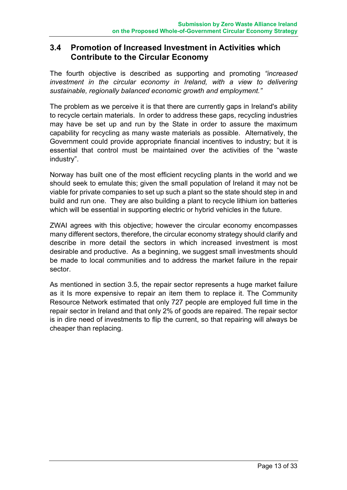#### **3.4 Promotion of Increased Investment in Activities which Contribute to the Circular Economy**

The fourth objective is described as supporting and promoting *"increased investment in the circular economy in Ireland, with a view to delivering sustainable, regionally balanced economic growth and employment."*

The problem as we perceive it is that there are currently gaps in Ireland's ability to recycle certain materials. In order to address these gaps, recycling industries may have be set up and run by the State in order to assure the maximum capability for recycling as many waste materials as possible. Alternatively, the Government could provide appropriate financial incentives to industry; but it is essential that control must be maintained over the activities of the "waste industry".

Norway has built one of the most efficient recycling plants in the world and we should seek to emulate this; given the small population of Ireland it may not be viable for private companies to set up such a plant so the state should step in and build and run one. They are also building a plant to recycle lithium ion batteries which will be essential in supporting electric or hybrid vehicles in the future.

ZWAI agrees with this objective; however the circular economy encompasses many different sectors, therefore, the circular economy strategy should clarify and describe in more detail the sectors in which increased investment is most desirable and productive. As a beginning, we suggest small investments should be made to local communities and to address the market failure in the repair sector.

As mentioned in section 3.5, the repair sector represents a huge market failure as it Is more expensive to repair an item them to replace it. The Community Resource Network estimated that only 727 people are employed full time in the repair sector in Ireland and that only 2% of goods are repaired. The repair sector is in dire need of investments to flip the current, so that repairing will always be cheaper than replacing.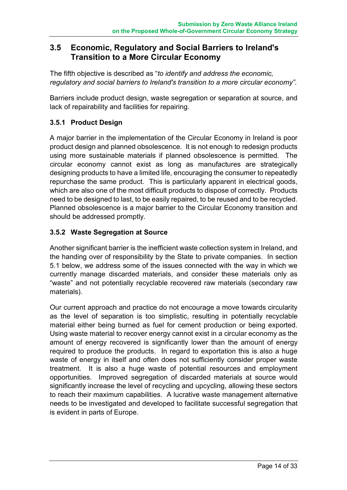#### **3.5 Economic, Regulatory and Social Barriers to Ireland's Transition to a More Circular Economy**

The fifth objective is described as "*to identify and address the economic, regulatory and social barriers to Ireland's transition to a more circular economy".*

Barriers include product design, waste segregation or separation at source, and lack of repairability and facilities for repairing.

#### **3.5.1 Product Design**

A major barrier in the implementation of the Circular Economy in Ireland is poor product design and planned obsolescence. It is not enough to redesign products using more sustainable materials if planned obsolescence is permitted. The circular economy cannot exist as long as manufactures are strategically designing products to have a limited life, encouraging the consumer to repeatedly repurchase the same product. This is particularly apparent in electrical goods, which are also one of the most difficult products to dispose of correctly. Products need to be designed to last, to be easily repaired, to be reused and to be recycled. Planned obsolescence is a major barrier to the Circular Economy transition and should be addressed promptly.

#### **3.5.2 Waste Segregation at Source**

Another significant barrier is the inefficient waste collection system in Ireland, and the handing over of responsibility by the State to private companies. In section 5.1 below, we address some of the issues connected with the way in which we currently manage discarded materials, and consider these materials only as "waste" and not potentially recyclable recovered raw materials (secondary raw materials).

Our current approach and practice do not encourage a move towards circularity as the level of separation is too simplistic, resulting in potentially recyclable material either being burned as fuel for cement production or being exported. Using waste material to recover energy cannot exist in a circular economy as the amount of energy recovered is significantly lower than the amount of energy required to produce the products. In regard to exportation this is also a huge waste of energy in itself and often does not sufficiently consider proper waste treatment. It is also a huge waste of potential resources and employment opportunities. Improved segregation of discarded materials at source would significantly increase the level of recycling and upcycling, allowing these sectors to reach their maximum capabilities. A lucrative waste management alternative needs to be investigated and developed to facilitate successful segregation that is evident in parts of Europe.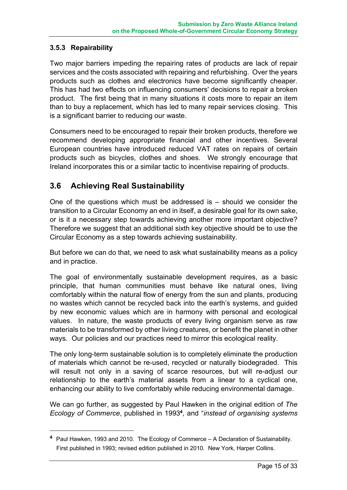#### **3.5.3 Repairability**

1

Two major barriers impeding the repairing rates of products are lack of repair services and the costs associated with repairing and refurbishing. Over the years products such as clothes and electronics have become significantly cheaper. This has had two effects on influencing consumers' decisions to repair a broken product. The first being that in many situations it costs more to repair an item than to buy a replacement, which has led to many repair services closing. This is a significant barrier to reducing our waste.

Consumers need to be encouraged to repair their broken products, therefore we recommend developing appropriate financial and other incentives. Several European countries have introduced reduced VAT rates on repairs of certain products such as bicycles, clothes and shoes. We strongly encourage that Ireland incorporates this or a similar tactic to incentivise repairing of products.

#### **3.6 Achieving Real Sustainability**

One of the questions which must be addressed is  $-$  should we consider the transition to a Circular Economy an end in itself, a desirable goal for its own sake, or is it a necessary step towards achieving another more important objective? Therefore we suggest that an additional sixth key objective should be to use the Circular Economy as a step towards achieving sustainability.

But before we can do that, we need to ask what sustainability means as a policy and in practice.

The goal of environmentally sustainable development requires, as a basic principle, that human communities must behave like natural ones, living comfortably within the natural flow of energy from the sun and plants, producing no wastes which cannot be recycled back into the earth's systems, and guided by new economic values which are in harmony with personal and ecological values. In nature, the waste products of every living organism serve as raw materials to be transformed by other living creatures, or benefit the planet in other ways. Our policies and our practices need to mirror this ecological reality.

The only long-term sustainable solution is to completely eliminate the production of materials which cannot be re-used, recycled or naturally biodegraded. This will result not only in a saving of scarce resources, but will re-adjust our relationship to the earth's material assets from a linear to a cyclical one, enhancing our ability to live comfortably while reducing environmental damage.

We can go further, as suggested by Paul Hawken in the original edition of *The Ecology of Commerce*, published in 1993**<sup>4</sup>**, and "*instead of organising systems* 

**<sup>4</sup>** Paul Hawken, 1993 and 2010. The Ecology of Commerce – A Declaration of Sustainability. First published in 1993; revised edition published in 2010. New York, Harper Collins.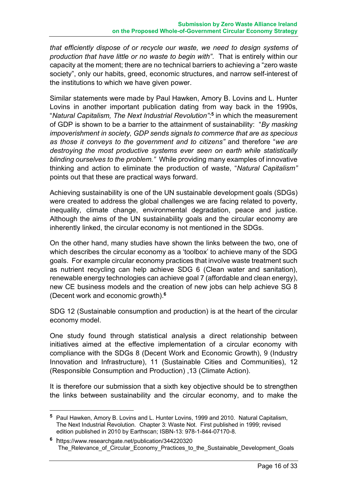*that efficiently dispose of or recycle our waste, we need to design systems of production that have little or no waste to begin with"*. That is entirely within our capacity at the moment; there are no technical barriers to achieving a "zero waste society", only our habits, greed, economic structures, and narrow self-interest of the institutions to which we have given power.

Similar statements were made by Paul Hawken, Amory B. Lovins and L. Hunter Lovins in another important publication dating from way back in the 1990s, "*Natural Capitalism, The Next Industrial Revolution"*: **<sup>5</sup>** in which the measurement of GDP is shown to be a barrier to the attainment of sustainability: "*By masking impoverishment in society, GDP sends signals to commerce that are as specious as those it conveys to the government and to citizens"* and therefore "*we are destroying the most productive systems ever seen on earth while statistically blinding ourselves to the problem."* While providing many examples of innovative thinking and action to eliminate the production of waste, "*Natural Capitalism"* points out that these are practical ways forward.

Achieving sustainability is one of the UN sustainable development goals (SDGs) were created to address the global challenges we are facing related to poverty, inequality, climate change, environmental degradation, peace and justice. Although the aims of the UN sustainability goals and the circular economy are inherently linked, the circular economy is not mentioned in the SDGs.

On the other hand, many studies have shown the links between the two, one of which describes the circular economy as a 'toolbox' to achieve many of the SDG goals. For example circular economy practices that involve waste treatment such as nutrient recycling can help achieve SDG 6 (Clean water and sanitation), renewable energy technologies can achieve goal 7 (affordable and clean energy), new CE business models and the creation of new jobs can help achieve SG 8 (Decent work and economic growth).**<sup>6</sup>**

SDG 12 (Sustainable consumption and production) is at the heart of the circular economy model.

One study found through statistical analysis a direct relationship between initiatives aimed at the effective implementation of a circular economy with compliance with the SDGs 8 (Decent Work and Economic Growth), 9 (Industry Innovation and Infrastructure), 11 (Sustainable Cities and Communities), 12 (Responsible Consumption and Production) ,13 (Climate Action).

It is therefore our submission that a sixth key objective should be to strengthen the links between sustainability and the circular economy, and to make the

1

**<sup>5</sup>** Paul Hawken, Amory B. Lovins and L. Hunter Lovins, 1999 and 2010. Natural Capitalism, The Next Industrial Revolution. Chapter 3: Waste Not. First published in 1999; revised edition published in 2010 by Earthscan; ISBN-13: 978-1-844-07170-8.

**<sup>6</sup>** https://www.researchgate.net/publication/344220320 The\_Relevance\_of\_Circular\_Economy\_Practices\_to\_the\_Sustainable\_Development\_Goals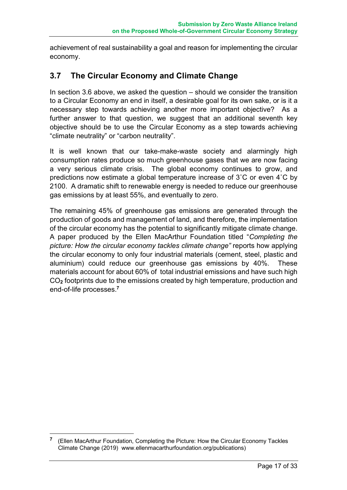achievement of real sustainability a goal and reason for implementing the circular economy.

#### **3.7 The Circular Economy and Climate Change**

In section 3.6 above, we asked the question – should we consider the transition to a Circular Economy an end in itself, a desirable goal for its own sake, or is it a necessary step towards achieving another more important objective? As a further answer to that question, we suggest that an additional seventh key objective should be to use the Circular Economy as a step towards achieving "climate neutrality" or "carbon neutrality".

It is well known that our take-make-waste society and alarmingly high consumption rates produce so much greenhouse gases that we are now facing a very serious climate crisis. The global economy continues to grow, and predictions now estimate a global temperature increase of 3˚C or even 4˚C by 2100. A dramatic shift to renewable energy is needed to reduce our greenhouse gas emissions by at least 55%, and eventually to zero.

The remaining 45% of greenhouse gas emissions are generated through the production of goods and management of land, and therefore, the implementation of the circular economy has the potential to significantly mitigate climate change. A paper produced by the Ellen MacArthur Foundation titled "*Completing the picture: How the circular economy tackles climate change"* reports how applying the circular economy to only four industrial materials (cement, steel, plastic and aluminium) could reduce our greenhouse gas emissions by 40%. These materials account for about 60% of total industrial emissions and have such high CO**<sup>2</sup>** footprints due to the emissions created by high temperature, production and end-of-life processes.**<sup>7</sup>**

1

**<sup>7</sup>** (Ellen MacArthur Foundation, Completing the Picture: How the Circular Economy Tackles Climate Change (2019) www.ellenmacarthurfoundation.org/publications)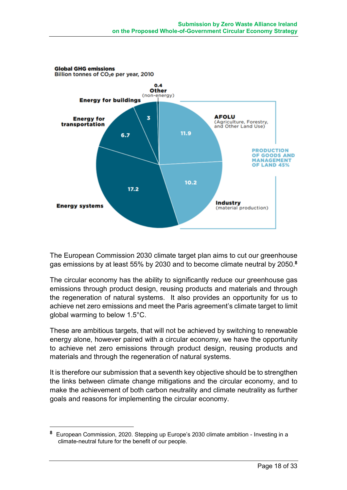

The European Commission 2030 climate target plan aims to cut our greenhouse gas emissions by at least 55% by 2030 and to become climate neutral by 2050.**<sup>8</sup>**

The circular economy has the ability to significantly reduce our greenhouse gas emissions through product design, reusing products and materials and through the regeneration of natural systems. It also provides an opportunity for us to achieve net zero emissions and meet the Paris agreement's climate target to limit global warming to below 1.5°C.

These are ambitious targets, that will not be achieved by switching to renewable energy alone, however paired with a circular economy, we have the opportunity to achieve net zero emissions through product design, reusing products and materials and through the regeneration of natural systems.

It is therefore our submission that a seventh key objective should be to strengthen the links between climate change mitigations and the circular economy, and to make the achievement of both carbon neutrality and climate neutrality as further goals and reasons for implementing the circular economy.

<u>.</u>

**<sup>8</sup>** European Commission, 2020. Stepping up Europe's 2030 climate ambition - Investing in a climate-neutral future for the benefit of our people.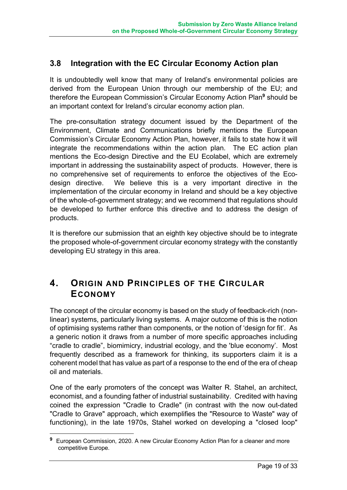#### **3.8 Integration with the EC Circular Economy Action plan**

It is undoubtedly well know that many of Ireland's environmental policies are derived from the European Union through our membership of the EU; and therefore the European Commission's Circular Economy Action Plan**<sup>9</sup>** should be an important context for Ireland's circular economy action plan.

The pre-consultation strategy document issued by the Department of the Environment, Climate and Communications briefly mentions the European Commission's Circular Economy Action Plan, however, it fails to state how it will integrate the recommendations within the action plan. The EC action plan mentions the Eco-design Directive and the EU Ecolabel, which are extremely important in addressing the sustainability aspect of products. However, there is no comprehensive set of requirements to enforce the objectives of the Ecodesign directive. We believe this is a very important directive in the implementation of the circular economy in Ireland and should be a key objective of the whole-of-government strategy; and we recommend that regulations should be developed to further enforce this directive and to address the design of products.

It is therefore our submission that an eighth key objective should be to integrate the proposed whole-of-government circular economy strategy with the constantly developing EU strategy in this area.

### **4. ORIGIN AND PRINCIPLES OF THE CIRCULAR ECONOMY**

The concept of the circular economy is based on the study of feedback-rich (nonlinear) systems, particularly living systems. A major outcome of this is the notion of optimising systems rather than components, or the notion of 'design for fit'. As a generic notion it draws from a number of more specific approaches including "cradle to cradle", biomimicry, industrial ecology, and the 'blue economy'. Most frequently described as a framework for thinking, its supporters claim it is a coherent model that has value as part of a response to the end of the era of cheap oil and materials.

One of the early promoters of the concept was Walter R. Stahel, an architect, economist, and a founding father of industrial sustainability. Credited with having coined the expression "Cradle to Cradle" (in contrast with the now out-dated "Cradle to Grave" approach, which exemplifies the "Resource to Waste" way of functioning), in the late 1970s, Stahel worked on developing a "closed loop"

1

**<sup>9</sup>** European Commission, 2020. A new Circular Economy Action Plan for a cleaner and more competitive Europe.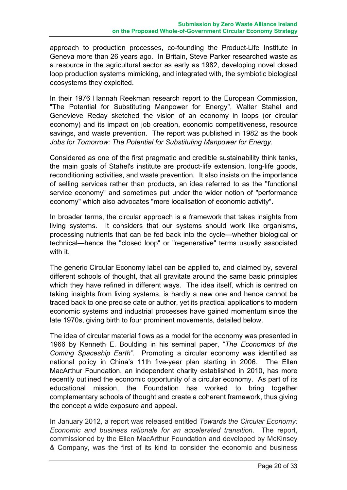approach to production processes, co-founding the Product-Life Institute in Geneva more than 26 years ago. In Britain, Steve Parker researched waste as a resource in the agricultural sector as early as 1982, developing novel closed loop production systems mimicking, and integrated with, the symbiotic biological ecosystems they exploited.

In their 1976 Hannah Reekman research report to the European Commission, "The Potential for Substituting Manpower for Energy", Walter Stahel and Genevieve Reday sketched the vision of an economy in loops (or circular economy) and its impact on job creation, economic competitiveness, resource savings, and waste prevention. The report was published in 1982 as the book *Jobs for Tomorrow: The Potential for Substituting Manpower for Energy*.

Considered as one of the first pragmatic and credible sustainability think tanks, the main goals of Stahel's institute are product-life extension, long-life goods, reconditioning activities, and waste prevention. It also insists on the importance of selling services rather than products, an idea referred to as the "functional service economy" and sometimes put under the wider notion of "performance economy" which also advocates "more localisation of economic activity".

In broader terms, the circular approach is a framework that takes insights from living systems. It considers that our systems should work like organisms, processing nutrients that can be fed back into the cycle—whether biological or technical—hence the "closed loop" or "regenerative" terms usually associated with it.

The generic Circular Economy label can be applied to, and claimed by, several different schools of thought, that all gravitate around the same basic principles which they have refined in different ways. The idea itself, which is centred on taking insights from living systems, is hardly a new one and hence cannot be traced back to one precise date or author, yet its practical applications to modern economic systems and industrial processes have gained momentum since the late 1970s, giving birth to four prominent movements, detailed below.

The idea of circular material flows as a model for the economy was presented in 1966 by Kenneth E. Boulding in his seminal paper, "*The Economics of the Coming Spaceship Earth"*. Promoting a circular economy was identified as national policy in China's 11th five-year plan starting in 2006. The Ellen MacArthur Foundation, an independent charity established in 2010, has more recently outlined the economic opportunity of a circular economy. As part of its educational mission, the Foundation has worked to bring together complementary schools of thought and create a coherent framework, thus giving the concept a wide exposure and appeal.

In January 2012, a report was released entitled *Towards the Circular Economy: Economic and business rationale for an accelerated transition*. The report, commissioned by the Ellen MacArthur Foundation and developed by McKinsey & Company, was the first of its kind to consider the economic and business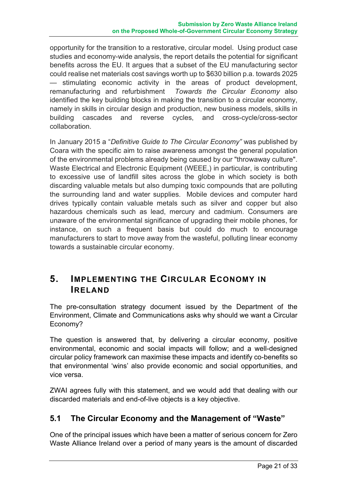opportunity for the transition to a restorative, circular model. Using product case studies and economy-wide analysis, the report details the potential for significant benefits across the EU. It argues that a subset of the EU manufacturing sector could realise net materials cost savings worth up to \$630 billion p.a. towards 2025 — stimulating economic activity in the areas of product development, remanufacturing and refurbishment *Towards the Circular Economy* also identified the key building blocks in making the transition to a circular economy, namely in skills in circular design and production, new business models, skills in building cascades and reverse cycles, and cross-cycle/cross-sector collaboration.

In January 2015 a "*Definitive Guide to The Circular Economy"* was published by Coara with the specific aim to raise awareness amongst the general population of the environmental problems already being caused by our "throwaway culture". Waste Electrical and Electronic Equipment (WEEE,) in particular, is contributing to excessive use of landfill sites across the globe in which society is both discarding valuable metals but also dumping toxic compounds that are polluting the surrounding land and water supplies. Mobile devices and computer hard drives typically contain valuable metals such as silver and copper but also hazardous chemicals such as lead, mercury and cadmium. Consumers are unaware of the environmental significance of upgrading their mobile phones, for instance, on such a frequent basis but could do much to encourage manufacturers to start to move away from the wasteful, polluting linear economy towards a sustainable circular economy.

### **5. IMPLEMENTING THE CIRCULAR ECONOMY IN IRELAND**

The pre-consultation strategy document issued by the Department of the Environment, Climate and Communications asks why should we want a Circular Economy?

The question is answered that, by delivering a circular economy, positive environmental, economic and social impacts will follow; and a well-designed circular policy framework can maximise these impacts and identify co-benefits so that environmental 'wins' also provide economic and social opportunities, and vice versa.

ZWAI agrees fully with this statement, and we would add that dealing with our discarded materials and end-of-live objects is a key objective.

#### **5.1 The Circular Economy and the Management of "Waste"**

One of the principal issues which have been a matter of serious concern for Zero Waste Alliance Ireland over a period of many years is the amount of discarded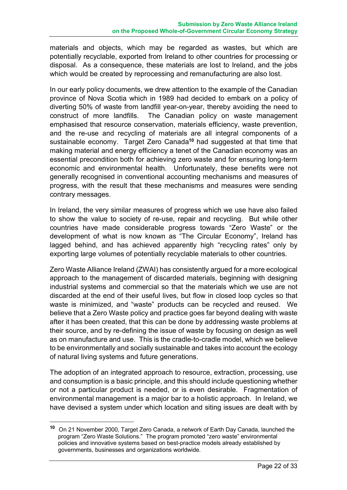materials and objects, which may be regarded as wastes, but which are potentially recyclable, exported from Ireland to other countries for processing or disposal. As a consequence, these materials are lost to Ireland, and the jobs which would be created by reprocessing and remanufacturing are also lost.

In our early policy documents, we drew attention to the example of the Canadian province of Nova Scotia which in 1989 had decided to embark on a policy of diverting 50% of waste from landfill year-on-year, thereby avoiding the need to construct of more landfills. The Canadian policy on waste management emphasised that resource conservation, materials efficiency, waste prevention, and the re-use and recycling of materials are all integral components of a sustainable economy. Target Zero Canada**<sup>10</sup>** had suggested at that time that making material and energy efficiency a tenet of the Canadian economy was an essential precondition both for achieving zero waste and for ensuring long-term economic and environmental health. Unfortunately, these benefits were not generally recognised in conventional accounting mechanisms and measures of progress, with the result that these mechanisms and measures were sending contrary messages.

In Ireland, the very similar measures of progress which we use have also failed to show the value to society of re-use, repair and recycling. But while other countries have made considerable progress towards "Zero Waste" or the development of what is now known as "The Circular Economy", Ireland has lagged behind, and has achieved apparently high "recycling rates" only by exporting large volumes of potentially recyclable materials to other countries.

Zero Waste Alliance Ireland (ZWAI) has consistently argued for a more ecological approach to the management of discarded materials, beginning with designing industrial systems and commercial so that the materials which we use are not discarded at the end of their useful lives, but flow in closed loop cycles so that waste is minimized, and "waste" products can be recycled and reused. We believe that a Zero Waste policy and practice goes far beyond dealing with waste after it has been created, that this can be done by addressing waste problems at their source, and by re-defining the issue of waste by focusing on design as well as on manufacture and use. This is the cradle-to-cradle model, which we believe to be environmentally and socially sustainable and takes into account the ecology of natural living systems and future generations.

The adoption of an integrated approach to resource, extraction, processing, use and consumption is a basic principle, and this should include questioning whether or not a particular product is needed, or is even desirable. Fragmentation of environmental management is a major bar to a holistic approach. In Ireland, we have devised a system under which location and siting issues are dealt with by

1

**<sup>10</sup>** On 21 November 2000, Target Zero Canada, a network of Earth Day Canada, launched the program "Zero Waste Solutions." The program promoted "zero waste" environmental policies and innovative systems based on best-practice models already established by governments, businesses and organizations worldwide.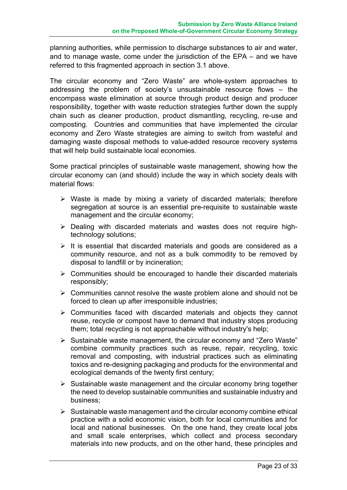planning authorities, while permission to discharge substances to air and water, and to manage waste, come under the jurisdiction of the EPA – and we have referred to this fragmented approach in section 3.1 above.

The circular economy and "Zero Waste" are whole-system approaches to addressing the problem of society's unsustainable resource flows – the encompass waste elimination at source through product design and producer responsibility, together with waste reduction strategies further down the supply chain such as cleaner production, product dismantling, recycling, re-use and composting. Countries and communities that have implemented the circular economy and Zero Waste strategies are aiming to switch from wasteful and damaging waste disposal methods to value-added resource recovery systems that will help build sustainable local economies.

Some practical principles of sustainable waste management, showing how the circular economy can (and should) include the way in which society deals with material flows:

- $\triangleright$  Waste is made by mixing a variety of discarded materials; therefore segregation at source is an essential pre-requisite to sustainable waste management and the circular economy;
- $\triangleright$  Dealing with discarded materials and wastes does not require hightechnology solutions;
- $\triangleright$  It is essential that discarded materials and goods are considered as a community resource, and not as a bulk commodity to be removed by disposal to landfill or by incineration;
- $\triangleright$  Communities should be encouraged to handle their discarded materials responsibly;
- $\triangleright$  Communities cannot resolve the waste problem alone and should not be forced to clean up after irresponsible industries;
- $\triangleright$  Communities faced with discarded materials and objects they cannot reuse, recycle or compost have to demand that industry stops producing them; total recycling is not approachable without industry's help;
- $\triangleright$  Sustainable waste management, the circular economy and "Zero Waste" combine community practices such as reuse, repair, recycling, toxic removal and composting, with industrial practices such as eliminating toxics and re-designing packaging and products for the environmental and ecological demands of the twenty first century;
- $\triangleright$  Sustainable waste management and the circular economy bring together the need to develop sustainable communities and sustainable industry and business;
- $\triangleright$  Sustainable waste management and the circular economy combine ethical practice with a solid economic vision, both for local communities and for local and national businesses. On the one hand, they create local jobs and small scale enterprises, which collect and process secondary materials into new products, and on the other hand, these principles and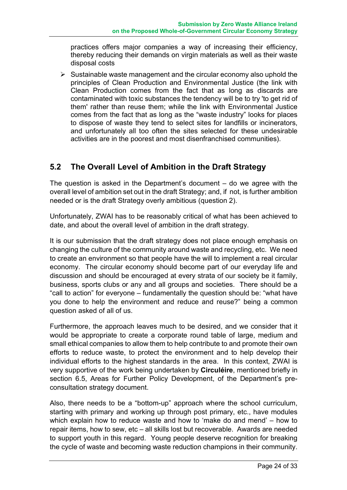practices offers major companies a way of increasing their efficiency, thereby reducing their demands on virgin materials as well as their waste disposal costs

 $\triangleright$  Sustainable waste management and the circular economy also uphold the principles of Clean Production and Environmental Justice (the link with Clean Production comes from the fact that as long as discards are contaminated with toxic substances the tendency will be to try 'to get rid of them' rather than reuse them; while the link with Environmental Justice comes from the fact that as long as the "waste industry" looks for places to dispose of waste they tend to select sites for landfills or incinerators, and unfortunately all too often the sites selected for these undesirable activities are in the poorest and most disenfranchised communities).

#### **5.2 The Overall Level of Ambition in the Draft Strategy**

The question is asked in the Department's document  $-$  do we agree with the overall level of ambition set out in the draft Strategy; and, if not, is further ambition needed or is the draft Strategy overly ambitious (question 2).

Unfortunately, ZWAI has to be reasonably critical of what has been achieved to date, and about the overall level of ambition in the draft strategy.

It is our submission that the draft strategy does not place enough emphasis on changing the culture of the community around waste and recycling, etc. We need to create an environment so that people have the will to implement a real circular economy. The circular economy should become part of our everyday life and discussion and should be encouraged at every strata of our society be it family, business, sports clubs or any and all groups and societies. There should be a "call to action" for everyone – fundamentally the question should be: "what have you done to help the environment and reduce and reuse?" being a common question asked of all of us.

Furthermore, the approach leaves much to be desired, and we consider that it would be appropriate to create a corporate round table of large, medium and small ethical companies to allow them to help contribute to and promote their own efforts to reduce waste, to protect the environment and to help develop their individual efforts to the highest standards in the area. In this context, ZWAI is very supportive of the work being undertaken by **Circuléire**, mentioned briefly in section 6.5, Areas for Further Policy Development, of the Department's preconsultation strategy document.

Also, there needs to be a "bottom-up" approach where the school curriculum, starting with primary and working up through post primary, etc., have modules which explain how to reduce waste and how to 'make do and mend' – how to repair items, how to sew, etc – all skills lost but recoverable. Awards are needed to support youth in this regard. Young people deserve recognition for breaking the cycle of waste and becoming waste reduction champions in their community.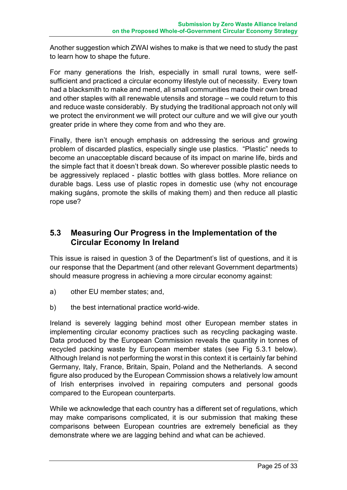Another suggestion which ZWAI wishes to make is that we need to study the past to learn how to shape the future.

For many generations the Irish, especially in small rural towns, were selfsufficient and practiced a circular economy lifestyle out of necessity. Every town had a blacksmith to make and mend, all small communities made their own bread and other staples with all renewable utensils and storage – we could return to this and reduce waste considerably. By studying the traditional approach not only will we protect the environment we will protect our culture and we will give our youth greater pride in where they come from and who they are.

Finally, there isn't enough emphasis on addressing the serious and growing problem of discarded plastics, especially single use plastics. "Plastic" needs to become an unacceptable discard because of its impact on marine life, birds and the simple fact that it doesn't break down. So wherever possible plastic needs to be aggressively replaced - plastic bottles with glass bottles. More reliance on durable bags. Less use of plastic ropes in domestic use (why not encourage making sugáns, promote the skills of making them) and then reduce all plastic rope use?

#### **5.3 Measuring Our Progress in the Implementation of the Circular Economy In Ireland**

This issue is raised in question 3 of the Department's list of questions, and it is our response that the Department (and other relevant Government departments) should measure progress in achieving a more circular economy against:

- a) other EU member states; and,
- b) the best international practice world-wide.

Ireland is severely lagging behind most other European member states in implementing circular economy practices such as recycling packaging waste. Data produced by the European Commission reveals the quantity in tonnes of recycled packing waste by European member states (see Fig 5.3.1 below). Although Ireland is not performing the worst in this context it is certainly far behind Germany, Italy, France, Britain, Spain, Poland and the Netherlands. A second figure also produced by the European Commission shows a relatively low amount of Irish enterprises involved in repairing computers and personal goods compared to the European counterparts.

While we acknowledge that each country has a different set of regulations, which may make comparisons complicated, it is our submission that making these comparisons between European countries are extremely beneficial as they demonstrate where we are lagging behind and what can be achieved.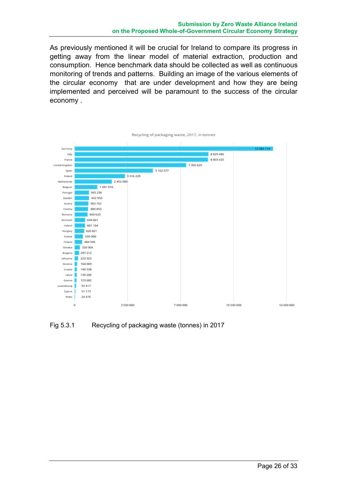As previously mentioned it will be crucial for Ireland to compare its progress in getting away from the linear model of material extraction, production and consumption. Hence benchmark data should be collected as well as continuous monitoring of trends and patterns. Building an image of the various elements of the circular economy that are under development and how they are being implemented and perceived will be paramount to the success of the circular economy .



Fig 5.3.1 Recycling of packaging waste (tonnes) in 2017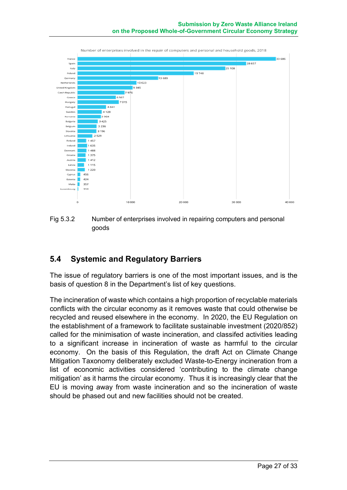

Fig 5.3.2 Number of enterprises involved in repairing computers and personal goods

#### **5.4 Systemic and Regulatory Barriers**

The issue of regulatory barriers is one of the most important issues, and is the basis of question 8 in the Department's list of key questions.

The incineration of waste which contains a high proportion of recyclable materials conflicts with the circular economy as it removes waste that could otherwise be recycled and reused elsewhere in the economy. In 2020, the EU Regulation on the establishment of a framework to facilitate sustainable investment (2020/852) called for the minimisation of waste incineration, and classifed activities leading to a significant increase in incineration of waste as harmful to the circular economy. On the basis of this Regulation, the draft Act on Climate Change Mitigation Taxonomy deliberately excluded Waste-to-Energy incineration from a list of economic activities considered 'contributing to the climate change mitigation' as it harms the circular economy. Thus it is increasingly clear that the EU is moving away from waste incineration and so the incineration of waste should be phased out and new facilities should not be created.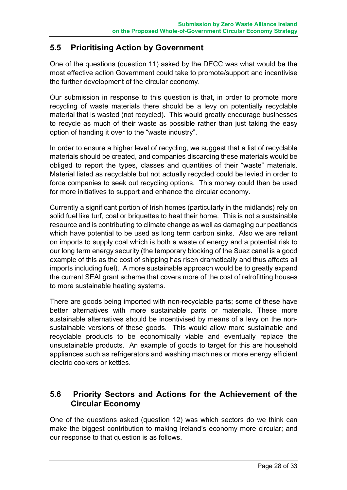#### **5.5 Prioritising Action by Government**

One of the questions (question 11) asked by the DECC was what would be the most effective action Government could take to promote/support and incentivise the further development of the circular economy.

Our submission in response to this question is that, in order to promote more recycling of waste materials there should be a levy on potentially recyclable material that is wasted (not recycled). This would greatly encourage businesses to recycle as much of their waste as possible rather than just taking the easy option of handing it over to the "waste industry".

In order to ensure a higher level of recycling, we suggest that a list of recyclable materials should be created, and companies discarding these materials would be obliged to report the types, classes and quantities of their "waste" materials. Material listed as recyclable but not actually recycled could be levied in order to force companies to seek out recycling options. This money could then be used for more initiatives to support and enhance the circular economy.

Currently a significant portion of Irish homes (particularly in the midlands) rely on solid fuel like turf, coal or briquettes to heat their home. This is not a sustainable resource and is contributing to climate change as well as damaging our peatlands which have potential to be used as long term carbon sinks. Also we are reliant on imports to supply coal which is both a waste of energy and a potential risk to our long term energy security (the temporary blocking of the Suez canal is a good example of this as the cost of shipping has risen dramatically and thus affects all imports including fuel). A more sustainable approach would be to greatly expand the current SEAI grant scheme that covers more of the cost of retrofitting houses to more sustainable heating systems.

There are goods being imported with non-recyclable parts; some of these have better alternatives with more sustainable parts or materials. These more sustainable alternatives should be incentivised by means of a levy on the nonsustainable versions of these goods. This would allow more sustainable and recyclable products to be economically viable and eventually replace the unsustainable products. An example of goods to target for this are household appliances such as refrigerators and washing machines or more energy efficient electric cookers or kettles.

#### **5.6 Priority Sectors and Actions for the Achievement of the Circular Economy**

One of the questions asked (question 12) was which sectors do we think can make the biggest contribution to making Ireland's economy more circular; and our response to that question is as follows.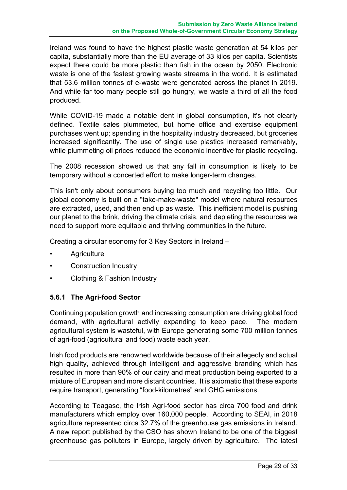Ireland was found to have the highest plastic waste generation at 54 kilos per capita, substantially more than the EU average of 33 kilos per capita. Scientists expect there could be more plastic than fish in the ocean by 2050. Electronic waste is one of the fastest growing waste streams in the world. It is estimated that 53.6 million tonnes of e-waste were generated across the planet in 2019. And while far too many people still go hungry, we waste a third of all the food produced.

While COVID-19 made a notable dent in global consumption, it's not clearly defined. Textile sales plummeted, but home office and exercise equipment purchases went up; spending in the hospitality industry decreased, but groceries increased significantly. The use of single use plastics increased remarkably, while plummeting oil prices reduced the economic incentive for plastic recycling.

The 2008 recession showed us that any fall in consumption is likely to be temporary without a concerted effort to make longer-term changes.

This isn't only about consumers buying too much and recycling too little. Our global economy is built on a "take-make-waste" model where natural resources are extracted, used, and then end up as waste. This inefficient model is pushing our planet to the brink, driving the climate crisis, and depleting the resources we need to support more equitable and thriving communities in the future.

Creating a circular economy for 3 Key Sectors in Ireland –

- **Agriculture**
- Construction Industry
- Clothing & Fashion Industry

#### **5.6.1 The Agri-food Sector**

Continuing population growth and increasing consumption are driving global food demand, with agricultural activity expanding to keep pace. The modern agricultural system is wasteful, with Europe generating some 700 million tonnes of agri-food (agricultural and food) waste each year.

Irish food products are renowned worldwide because of their allegedly and actual high quality, achieved through intelligent and aggressive branding which has resulted in more than 90% of our dairy and meat production being exported to a mixture of European and more distant countries. It is axiomatic that these exports require transport, generating "food-kilometres" and GHG emissions.

According to Teagasc, the Irish Agri-food sector has circa 700 food and drink manufacturers which employ over 160,000 people. According to SEAI, in 2018 agriculture represented circa 32.7% of the greenhouse gas emissions in Ireland. A new report published by the CSO has shown Ireland to be one of the biggest greenhouse gas polluters in Europe, largely driven by agriculture. The latest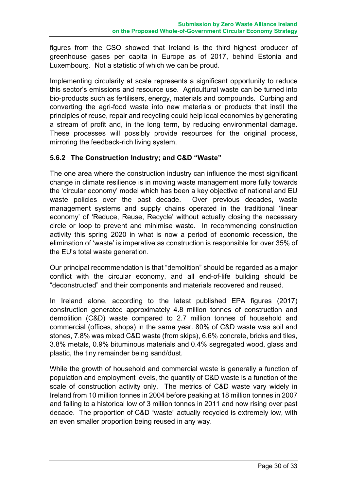figures from the CSO showed that Ireland is the third highest producer of greenhouse gases per capita in Europe as of 2017, behind Estonia and Luxembourg. Not a statistic of which we can be proud.

Implementing circularity at scale represents a significant opportunity to reduce this sector's emissions and resource use. Agricultural waste can be turned into bio-products such as fertilisers, energy, materials and compounds. Curbing and converting the agri-food waste into new materials or products that instil the principles of reuse, repair and recycling could help local economies by generating a stream of profit and, in the long term, by reducing environmental damage. These processes will possibly provide resources for the original process, mirroring the feedback-rich living system.

#### **5.6.2 The Construction Industry; and C&D "Waste"**

The one area where the construction industry can influence the most significant change in climate resilience is in moving waste management more fully towards the 'circular economy' model which has been a key objective of national and EU waste policies over the past decade. Over previous decades, waste management systems and supply chains operated in the traditional 'linear economy' of 'Reduce, Reuse, Recycle' without actually closing the necessary circle or loop to prevent and minimise waste. In recommencing construction activity this spring 2020 in what is now a period of economic recession, the elimination of 'waste' is imperative as construction is responsible for over 35% of the EU's total waste generation.

Our principal recommendation is that "demolition" should be regarded as a major conflict with the circular economy, and all end-of-life building should be "deconstructed" and their components and materials recovered and reused.

In Ireland alone, according to the latest published EPA figures (2017) construction generated approximately 4.8 million tonnes of construction and demolition (C&D) waste compared to 2.7 million tonnes of household and commercial (offices, shops) in the same year. 80% of C&D waste was soil and stones, 7.8% was mixed C&D waste (from skips), 6.6% concrete, bricks and tiles, 3.8% metals, 0.9% bituminous materials and 0.4% segregated wood, glass and plastic, the tiny remainder being sand/dust.

While the growth of household and commercial waste is generally a function of population and employment levels, the quantity of C&D waste is a function of the scale of construction activity only. The metrics of C&D waste vary widely in Ireland from 10 million tonnes in 2004 before peaking at 18 million tonnes in 2007 and falling to a historical low of 3 million tonnes in 2011 and now rising over past decade. The proportion of C&D "waste" actually recycled is extremely low, with an even smaller proportion being reused in any way.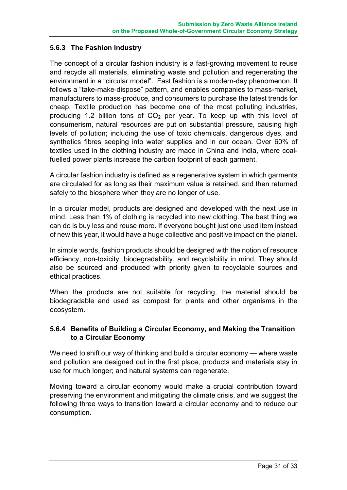#### **5.6.3 The Fashion Industry**

The concept of a circular fashion industry is a fast-growing movement to reuse and recycle all materials, eliminating waste and pollution and regenerating the environment in a "circular model". Fast fashion is a modern-day phenomenon. It follows a "take-make-dispose" pattern, and enables companies to mass-market, manufacturers to mass-produce, and consumers to purchase the latest trends for cheap. Textile production has become one of the most polluting industries, producing 1.2 billion tons of CO**<sup>2</sup>** per year. To keep up with this level of consumerism, natural resources are put on substantial pressure, causing high levels of pollution; including the use of toxic chemicals, dangerous dyes, and synthetics fibres seeping into water supplies and in our ocean. Over 60% of textiles used in the clothing industry are made in China and India, where coalfuelled power plants increase the carbon footprint of each garment.

A circular fashion industry is defined as a regenerative system in which garments are circulated for as long as their maximum value is retained, and then returned safely to the biosphere when they are no longer of use.

In a circular model, products are designed and developed with the next use in mind. Less than 1% of clothing is recycled into new clothing. The best thing we can do is buy less and reuse more. If everyone bought just one used item instead of new this year, it would have a huge collective and positive impact on the planet.

In simple words, fashion products should be designed with the notion of resource efficiency, non-toxicity, biodegradability, and recyclability in mind. They should also be sourced and produced with priority given to recyclable sources and ethical practices.

When the products are not suitable for recycling, the material should be biodegradable and used as compost for plants and other organisms in the ecosystem.

#### **5.6.4 Benefits of Building a Circular Economy, and Making the Transition to a Circular Economy**

We need to shift our way of thinking and build a circular economy — where waste and pollution are designed out in the first place; products and materials stay in use for much longer; and natural systems can regenerate.

Moving toward a circular economy would make a crucial contribution toward preserving the environment and mitigating the climate crisis, and we suggest the following three ways to transition toward a circular economy and to reduce our consumption.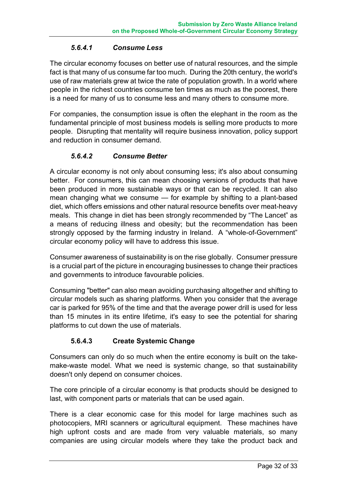#### *5.6.4.1 Consume Less*

The circular economy focuses on better use of natural resources, and the simple fact is that many of us consume far too much. During the 20th century, the world's use of raw materials grew at twice the rate of population growth. In a world where people in the richest countries consume ten times as much as the poorest, there is a need for many of us to consume less and many others to consume more.

For companies, the consumption issue is often the elephant in the room as the fundamental principle of most business models is selling more products to more people. Disrupting that mentality will require business innovation, policy support and reduction in consumer demand.

#### *5.6.4.2 Consume Better*

A circular economy is not only about consuming less; it's also about consuming better. For consumers, this can mean choosing versions of products that have been produced in more sustainable ways or that can be recycled. It can also mean changing what we consume — for example by shifting to a plant-based diet, which offers emissions and other natural resource benefits over meat-heavy meals. This change in diet has been strongly recommended by "The Lancet" as a means of reducing illness and obesity; but the recommendation has been strongly opposed by the farming industry in Ireland. A "whole-of-Government" circular economy policy will have to address this issue.

Consumer awareness of sustainability is on the rise globally. Consumer pressure is a crucial part of the picture in encouraging businesses to change their practices and governments to introduce favourable policies.

Consuming "better" can also mean avoiding purchasing altogether and shifting to circular models such as sharing platforms. When you consider that the average car is parked for 95% of the time and that the average power drill is used for less than 15 minutes in its entire lifetime, it's easy to see the potential for sharing platforms to cut down the use of materials.

#### **5.6.4.3 Create Systemic Change**

Consumers can only do so much when the entire economy is built on the takemake-waste model. What we need is systemic change, so that sustainability doesn't only depend on consumer choices.

The core principle of a circular economy is that products should be designed to last, with component parts or materials that can be used again.

There is a clear economic case for this model for large machines such as photocopiers, MRI scanners or agricultural equipment. These machines have high upfront costs and are made from very valuable materials, so many companies are using circular models where they take the product back and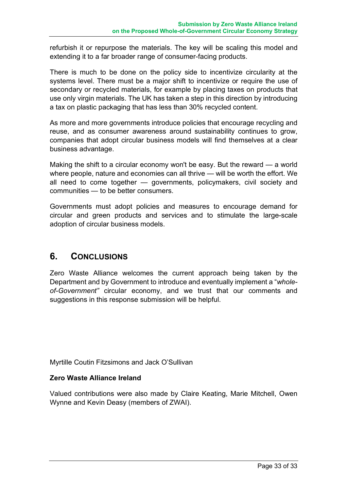refurbish it or repurpose the materials. The key will be scaling this model and extending it to a far broader range of consumer-facing products.

There is much to be done on the policy side to incentivize circularity at the systems level. There must be a major shift to incentivize or require the use of secondary or recycled materials, for example by placing taxes on products that use only virgin materials. The UK has taken a step in this direction by introducing a tax on plastic packaging that has less than 30% recycled content.

As more and more governments introduce policies that encourage recycling and reuse, and as consumer awareness around sustainability continues to grow, companies that adopt circular business models will find themselves at a clear business advantage.

Making the shift to a circular economy won't be easy. But the reward — a world where people, nature and economies can all thrive — will be worth the effort. We all need to come together — governments, policymakers, civil society and communities — to be better consumers.

Governments must adopt policies and measures to encourage demand for circular and green products and services and to stimulate the large-scale adoption of circular business models.

### **6. CONCLUSIONS**

Zero Waste Alliance welcomes the current approach being taken by the Department and by Government to introduce and eventually implement a "*wholeof-Government"* circular economy, and we trust that our comments and suggestions in this response submission will be helpful.

Myrtille Coutin Fitzsimons and Jack O'Sullivan

#### **Zero Waste Alliance Ireland**

Valued contributions were also made by Claire Keating, Marie Mitchell, Owen Wynne and Kevin Deasy (members of ZWAI).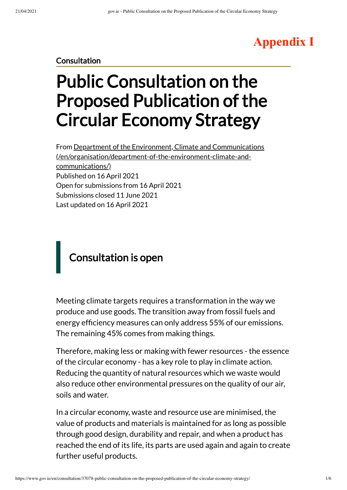# **Appendix I**

#### **Consultation**

# Public Consultation on the Proposed Publication of the Circular Economy Strategy

From Department of the Environment, Climate and Communications [\(/en/organisation/department-of-the-environment-climate-and](https://www.gov.ie/en/organisation/department-of-the-environment-climate-and-communications/)communications/) Published on 16 April 2021 Open for submissions from 16 April 2021 Submissions closed 11 June 2021 Last updated on 16 April 2021

# Consultation is open

Meeting climate targets requires a transformation in the way we produce and use goods. The transition away from fossil fuels and energy efficiency measures can only address 55% of our emissions. The remaining 45% comes from making things.

Therefore, making less or making with fewer resources - the essence of the circular economy - has a key role to play in climate action. Reducing the quantity of natural resources which we waste would also reduce other environmental pressures on the quality of our air, soils and water.

In a circular economy, waste and resource use are minimised, the value of products and materials is maintained for as long as possible through good design, durability and repair, and when a product has reached the end of its life, its parts are used again and again to create further useful products.